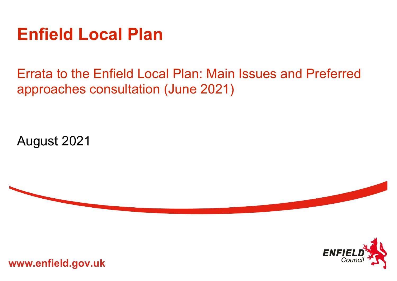## **Enfield Local Plan**

Errata to the Enfield Local Plan: Main Issues and Preferred approaches consultation (June 2021)

August 2021





**www.enfield.gov.uk**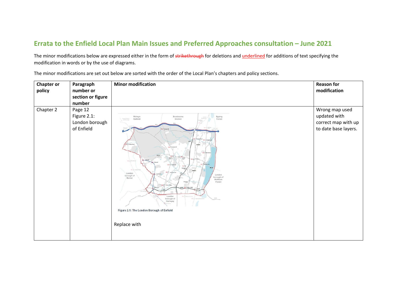## **Errata to the Enfield Local Plan Main Issues and Preferred Approaches consultation – June 2021**

The minor modifications below are expressed either in the form of strikethrough for deletions and underlined for additions of text specifying the modification in words or by the use of diagrams.

The minor modifications are set out below are sorted with the order of the Local Plan's chapters and policy sections.

| <b>Chapter or</b><br>policy | Paragraph<br>number or<br>section or figure<br>number  | <b>Minor modification</b>                                                                                                                                                                                                                                                                  | <b>Reason for</b><br>modification                                             |
|-----------------------------|--------------------------------------------------------|--------------------------------------------------------------------------------------------------------------------------------------------------------------------------------------------------------------------------------------------------------------------------------------------|-------------------------------------------------------------------------------|
| Chapter 2                   | Page 12<br>Figure 2.1:<br>London borough<br>of Enfield | Welwyn<br>Hatfield<br>Broxbourne<br>Epping<br>District<br>Forest<br>Atoto<br>London<br>London<br>borough of<br>borough of<br>Barnet<br>Waltham<br>Forest<br>London<br>$\equiv$ $\cap$ said<br>Anti-<br>borough of<br>Haringey<br>Figure 2.1: The London Borough of Enfield<br>Replace with | Wrong map used<br>updated with<br>correct map with up<br>to date base layers. |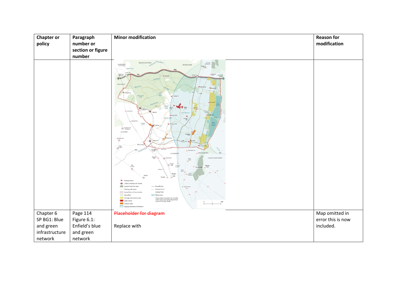| <b>Chapter or</b> | Paragraph                   | <b>Minor modification</b>                                                                                                                                                                                                                                                                                                                                                                                                                                                                                                                                                                                                                                                                                                                                           | <b>Reason for</b> |
|-------------------|-----------------------------|---------------------------------------------------------------------------------------------------------------------------------------------------------------------------------------------------------------------------------------------------------------------------------------------------------------------------------------------------------------------------------------------------------------------------------------------------------------------------------------------------------------------------------------------------------------------------------------------------------------------------------------------------------------------------------------------------------------------------------------------------------------------|-------------------|
| policy            | number or                   |                                                                                                                                                                                                                                                                                                                                                                                                                                                                                                                                                                                                                                                                                                                                                                     | modification      |
|                   | section or figure<br>number |                                                                                                                                                                                                                                                                                                                                                                                                                                                                                                                                                                                                                                                                                                                                                                     |                   |
|                   |                             | WELWYN HATFIELD<br>lowards Hertford<br>and Streenage<br>BROXBOURNE<br><b>HERTSMER</b><br><b>Such</b><br>C Intressignate<br>LB BARNET<br>Edmonton<br>$\Leftrightarrow$<br>$\overbrace{\bigoplus\nolimits^{\text{Wed}}}\hspace{-1mm} \xrightarrow{\hspace{-1mm} \text{Wed}}$<br>Write-Hatton<br>LB WALTHAM FOREST<br>Railway Station<br>+ London Underground Static<br>Special Protection Area<br>Piccadilly line<br>Existing cycle routes<br>-- Railway Tunno<br>Special Arcas of Conservat<br><b>Railway Track</b><br>Groun Bolt<br>Watercourse<br>Strategic Industrial Locatio<br>Town centre boundaries are currently<br>under review and will be determined<br>as part of the Reg-19 plan.<br>Major Centre<br>District Centre<br>Epping Forest zone of influence |                   |
| Chapter 6         | Page 114                    | Placeholder for diagram                                                                                                                                                                                                                                                                                                                                                                                                                                                                                                                                                                                                                                                                                                                                             | Map omitted in    |
| SP BG1: Blue      | Figure 6.1:                 |                                                                                                                                                                                                                                                                                                                                                                                                                                                                                                                                                                                                                                                                                                                                                                     | error this is now |
| and green         | Enfield's blue              | Replace with                                                                                                                                                                                                                                                                                                                                                                                                                                                                                                                                                                                                                                                                                                                                                        | included.         |
| infrastructure    | and green                   |                                                                                                                                                                                                                                                                                                                                                                                                                                                                                                                                                                                                                                                                                                                                                                     |                   |
| network           | network                     |                                                                                                                                                                                                                                                                                                                                                                                                                                                                                                                                                                                                                                                                                                                                                                     |                   |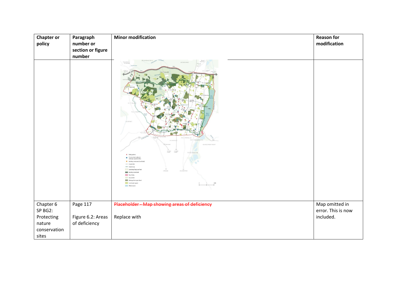| <b>Chapter or</b><br>policy | Paragraph<br>number or<br>section or figure | <b>Minor modification</b>                                                                                                                                                                          | <b>Reason for</b><br>modification |
|-----------------------------|---------------------------------------------|----------------------------------------------------------------------------------------------------------------------------------------------------------------------------------------------------|-----------------------------------|
|                             | number                                      |                                                                                                                                                                                                    |                                   |
|                             |                                             | LB WALTH<br>te Centrel<br>London<br>· Raingarde<br>stratogic opportun<br><b>D</b> Existing constructed wetland<br>Lee Valley Regional Part<br>Existing<br>New Par<br>Green Bel<br><b>The State</b> |                                   |
| Chapter 6                   | Page 117                                    | Placeholder - Map showing areas of deficiency                                                                                                                                                      | Map omitted in                    |
| SP BG2:                     |                                             |                                                                                                                                                                                                    | error. This is now                |
| Protecting                  | Figure 6.2: Areas                           | Replace with                                                                                                                                                                                       | included.                         |
| nature                      | of deficiency                               |                                                                                                                                                                                                    |                                   |
| conservation                |                                             |                                                                                                                                                                                                    |                                   |
| sites                       |                                             |                                                                                                                                                                                                    |                                   |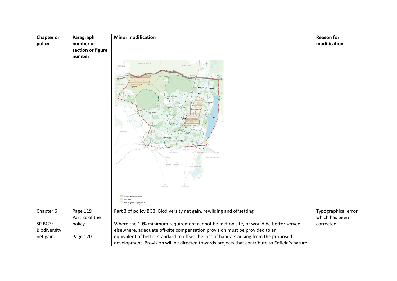| <b>Chapter or</b> | Paragraph         | <b>Minor modification</b>                                                                                                                                                    | <b>Reason for</b>   |
|-------------------|-------------------|------------------------------------------------------------------------------------------------------------------------------------------------------------------------------|---------------------|
| policy            | number or         |                                                                                                                                                                              | modification        |
|                   | section or figure |                                                                                                                                                                              |                     |
|                   | number            |                                                                                                                                                                              |                     |
|                   |                   | <b>VELWYN HATEIEL</b><br>LB WALTHAM FORES'<br>to Contra<br>London<br>to Cantra<br>London<br>Deficiency in Access to Natur<br>Open Spac<br>400m access buffer (representing 5 |                     |
| Chapter 6         | Page 119          | Part 3 of policy BG3: Biodiversity net gain, rewilding and offsetting                                                                                                        | Typographical error |
|                   | Part 3c of the    |                                                                                                                                                                              | which has been      |
| SP BG3:           | policy            | Where the 10% minimum requirement cannot be met on site, or would be better served                                                                                           | corrected.          |
| Biodiversity      |                   | elsewhere, adequate off-site compensation provision must be provided to an                                                                                                   |                     |
| net gain,         | Page 120          | equivalent of better standard to offset the loss of habitats arising from the proposed                                                                                       |                     |
|                   |                   | development. Provision will be directed towards projects that contribute to Enfield's nature                                                                                 |                     |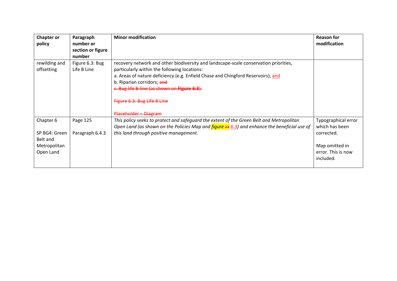| Chapter or<br>policy                                                | Paragraph<br>number or<br>section or figure<br>number | <b>Minor modification</b>                                                                                                                                                                                                                                                                                                                                      | <b>Reason for</b><br>modification                                                                        |
|---------------------------------------------------------------------|-------------------------------------------------------|----------------------------------------------------------------------------------------------------------------------------------------------------------------------------------------------------------------------------------------------------------------------------------------------------------------------------------------------------------------|----------------------------------------------------------------------------------------------------------|
| rewilding and<br>offsetting                                         | Figure 6.3: Bug<br>Life B Line                        | recovery network and other biodiversity and landscape-scale conservation priorities,<br>particularly within the following locations:<br>a. Areas of nature deficiency (e.g. Enfield Chase and Chingford Reservoirs); and<br>b. Riparian corridors; and<br>c. Bug life B-line (as shown on Figure 6:3).<br>Figure 6.3: Bug Life B Line<br>Placeholder - Diagram |                                                                                                          |
| Chapter 6<br>SP BG4: Green<br>Belt and<br>Metropolitan<br>Open Land | Page 125<br>Paragraph 6.4.3                           | This policy seeks to protect and safeguard the extent of the Green Belt and Metropolitan<br>Open Land (as shown on the Policies Map and <i>figure <math>x</math></i> 6.3) and enhance the beneficial use of<br>this land through positive management.                                                                                                          | Typographical error<br>which has been<br>corrected.<br>Map omitted in<br>error. This is now<br>included. |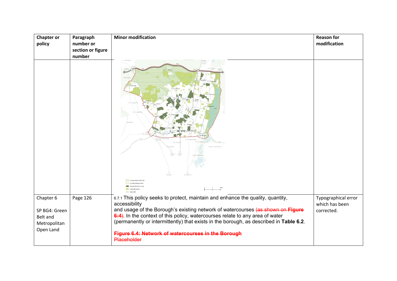| <b>Chapter or</b> | Paragraph         | <b>Minor modification</b>                                                                     | <b>Reason for</b>   |
|-------------------|-------------------|-----------------------------------------------------------------------------------------------|---------------------|
| policy            | number or         |                                                                                               | modification        |
|                   | section or figure |                                                                                               |                     |
|                   | number            |                                                                                               |                     |
|                   |                   | to Contra                                                                                     |                     |
| Chapter 6         | Page 126          | Green Belt<br>6.7.1 This policy seeks to protect, maintain and enhance the quality, quantity, | Typographical error |
|                   |                   | accessibility                                                                                 | which has been      |
| SP BG4: Green     |                   | and usage of the Borough's existing network of watercourses (as shown on Figure               | corrected.          |
| Belt and          |                   | 6:4). In the context of this policy, watercourses relate to any area of water                 |                     |
| Metropolitan      |                   | (permanently or intermittently) that exists in the borough, as described in Table 6.2.        |                     |
| Open Land         |                   | Figure 6.4: Network of watercourses in the Borough<br>Placeholder                             |                     |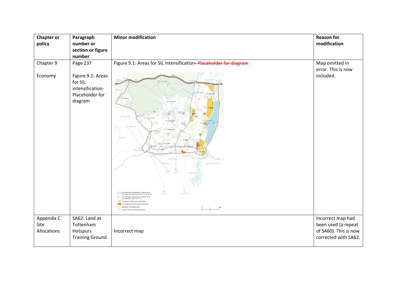| <b>Chapter or</b><br>policy       | Paragraph<br>number or                                                                     | <b>Minor modification</b>                                                                                                                                                                                                                                                                                                                                                                                                                                                   | <b>Reason for</b><br>modification                                                         |
|-----------------------------------|--------------------------------------------------------------------------------------------|-----------------------------------------------------------------------------------------------------------------------------------------------------------------------------------------------------------------------------------------------------------------------------------------------------------------------------------------------------------------------------------------------------------------------------------------------------------------------------|-------------------------------------------------------------------------------------------|
|                                   | section or figure<br>number                                                                |                                                                                                                                                                                                                                                                                                                                                                                                                                                                             |                                                                                           |
| Chapter 9<br>Economy              | Page 237<br>Figure 9.1: Areas<br>for SIL<br>intensification-<br>Placeholder for<br>diagram | Figure 9.1: Areas for SIL intensification-Placeholder for diagram<br>Edmonton<br><b>LR HAR</b><br>LB WALTHAM FOREST<br>to Centra<br>allocated for employ<br>e urban area' (5A8, 46, 47, 48, 39, 32, 50, 51, 30)<br>les allocated for employment related uses in<br>Green Belt' (SA52, 53, 54, 55)<br>rategic Industrial Location (Policy E2)<br>Locally Significant Industrial Site (Policy E2)<br>Industrial Intensification sites<br>Potential future employment location | Map omitted in<br>error. This is now<br>included.                                         |
| Appendix C<br>Site<br>Allocations | SA62: Land at<br>Tottenham<br>Hotspurs<br><b>Training Ground</b>                           | Incorrect map                                                                                                                                                                                                                                                                                                                                                                                                                                                               | Incorrect map had<br>been used (a repeat<br>of SA60). This is now<br>corrected with SA62. |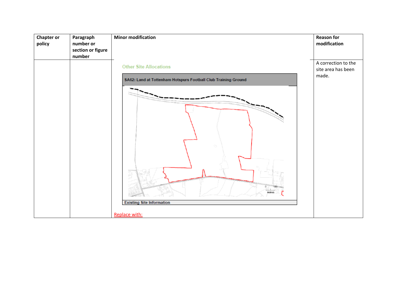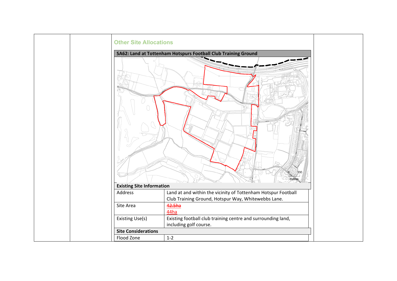